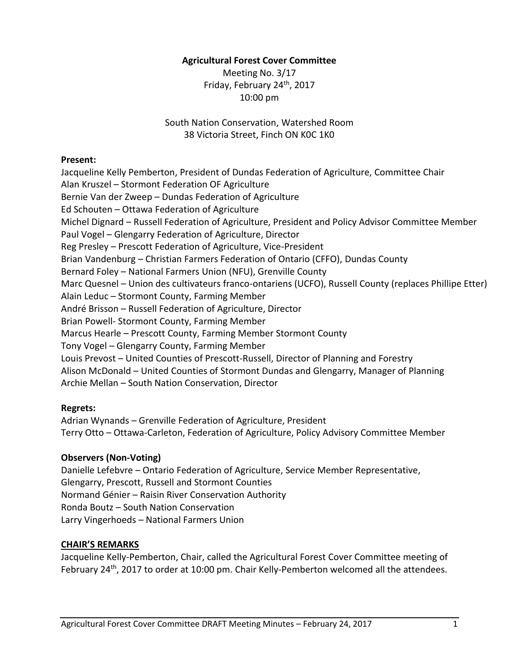#### **Agricultural Forest Cover Committee**

Meeting No. 3/17 Friday, February 24th, 2017 10:00 pm

South Nation Conservation, Watershed Room 38 Victoria Street, Finch ON K0C 1K0

#### **Present:**

Jacqueline Kelly Pemberton, President of Dundas Federation of Agriculture, Committee Chair Alan Kruszel – Stormont Federation OF Agriculture Bernie Van der Zweep – Dundas Federation of Agriculture Ed Schouten – Ottawa Federation of Agriculture Michel Dignard – Russell Federation of Agriculture, President and Policy Advisor Committee Member Paul Vogel – Glengarry Federation of Agriculture, Director Reg Presley – Prescott Federation of Agriculture, Vice-President Brian Vandenburg – Christian Farmers Federation of Ontario (CFFO), Dundas County Bernard Foley – National Farmers Union (NFU), Grenville County Marc Quesnel – Union des cultivateurs franco-ontariens (UCFO), Russell County (replaces Phillipe Etter) Alain Leduc – Stormont County, Farming Member André Brisson – Russell Federation of Agriculture, Director Brian Powell- Stormont County, Farming Member Marcus Hearle – Prescott County, Farming Member Stormont County Tony Vogel – Glengarry County, Farming Member Louis Prevost – United Counties of Prescott-Russell, Director of Planning and Forestry Alison McDonald – United Counties of Stormont Dundas and Glengarry, Manager of Planning Archie Mellan – South Nation Conservation, Director

## **Regrets:**

Adrian Wynands – Grenville Federation of Agriculture, President Terry Otto – Ottawa-Carleton, Federation of Agriculture, Policy Advisory Committee Member

## **Observers (Non-Voting)**

Danielle Lefebvre – Ontario Federation of Agriculture, Service Member Representative, Glengarry, Prescott, Russell and Stormont Counties Normand Génier – Raisin River Conservation Authority Ronda Boutz – South Nation Conservation Larry Vingerhoeds – National Farmers Union

## **CHAIR'S REMARKS**

Jacqueline Kelly-Pemberton, Chair, called the Agricultural Forest Cover Committee meeting of February 24<sup>th</sup>, 2017 to order at 10:00 pm. Chair Kelly-Pemberton welcomed all the attendees.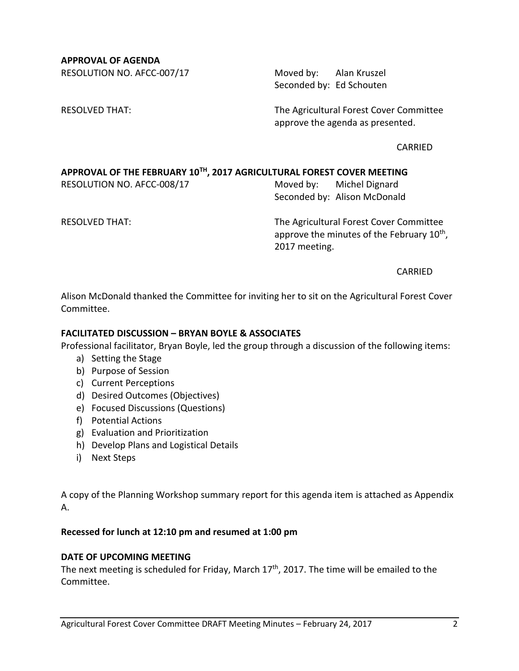**APPROVAL OF AGENDA**

RESOLUTION NO. AFCC-007/17 Moved by: Alan Kruszel

Seconded by: Ed Schouten

RESOLVED THAT: The Agricultural Forest Cover Committee approve the agenda as presented.

CARRIED

## **APPROVAL OF THE FEBRUARY 10TH , 2017 AGRICULTURAL FOREST COVER MEETING**

RESOLUTION NO. AFCC-008/17 Moved by: Michel Dignard

Seconded by: Alison McDonald

RESOLVED THAT: The Agricultural Forest Cover Committee approve the minutes of the February 10<sup>th</sup>, 2017 meeting.

CARRIED

Alison McDonald thanked the Committee for inviting her to sit on the Agricultural Forest Cover Committee.

# **FACILITATED DISCUSSION – BRYAN BOYLE & ASSOCIATES**

Professional facilitator, Bryan Boyle, led the group through a discussion of the following items:

- a) Setting the Stage
- b) Purpose of Session
- c) Current Perceptions
- d) Desired Outcomes (Objectives)
- e) Focused Discussions (Questions)
- f) Potential Actions
- g) Evaluation and Prioritization
- h) Develop Plans and Logistical Details
- i) Next Steps

A copy of the Planning Workshop summary report for this agenda item is attached as Appendix A.

#### **Recessed for lunch at 12:10 pm and resumed at 1:00 pm**

#### **DATE OF UPCOMING MEETING**

The next meeting is scheduled for Friday, March  $17<sup>th</sup>$ , 2017. The time will be emailed to the Committee.